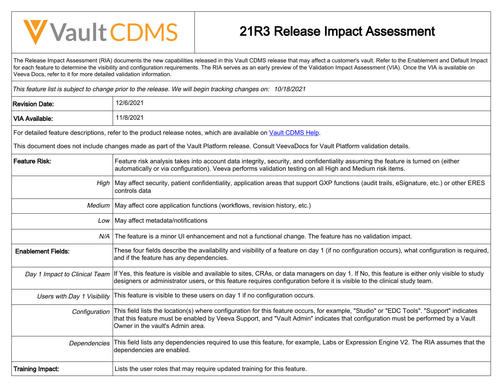## **V** Vault CDMS

## 21R3 Release Impact Assessment

The Release Impact Assessment (RIA) documents the new capabilities released in this Vault CDMS release that may affect a customer's vault. Refer to the Enablement and Default Impact for each feature to determine the visibility and configuration requirements. The RIA serves as an early preview of the Validation Impact Assessment (VIA). Once the VIA is available on Veeva Docs, refer to it for more detailed validation information.

This feature list is subject to change prior to the release. We will begin tracking changes on: 10/18/2021

| <b>Revision Date:</b>     | 12/6/2021                                                                                                                                                                                                                                                                                                                      |
|---------------------------|--------------------------------------------------------------------------------------------------------------------------------------------------------------------------------------------------------------------------------------------------------------------------------------------------------------------------------|
| <b>VIA Available:</b>     | 11/8/2021                                                                                                                                                                                                                                                                                                                      |
|                           | For detailed feature descriptions, refer to the product release notes, which are available on Vault CDMS Help.                                                                                                                                                                                                                 |
|                           | This document does not include changes made as part of the Vault Platform release. Consult VeevaDocs for Vault Platform validation details.                                                                                                                                                                                    |
| <b>Feature Risk:</b>      | Feature risk analysis takes into account data integrity, security, and confidentiality assuming the feature is turned on (either<br>automatically or via configuration). Veeva performs validation testing on all High and Medium risk items.                                                                                  |
| High                      | May affect security, patient confidentiality, application areas that support GXP functions (audit trails, eSignature, etc.) or other ERES<br>controls data                                                                                                                                                                     |
| Medium                    | May affect core application functions (workflows, revision history, etc.)                                                                                                                                                                                                                                                      |
| Low                       | May affect metadata/notifications                                                                                                                                                                                                                                                                                              |
|                           | N/A The feature is a minor UI enhancement and not a functional change. The feature has no validation impact.                                                                                                                                                                                                                   |
| <b>Enablement Fields:</b> | These four fields describe the availability and visibility of a feature on day 1 (if no configuration occurs), what configuration is required,<br>and if the feature has any dependencies.                                                                                                                                     |
|                           | Day 1 Impact to Clinical Team   If Yes, this feature is visible and available to sites, CRAs, or data managers on day 1. If No, this feature is either only visible to study<br>designers or administrator users, or this feature requires configuration before it is visible to the clinical study team.                      |
|                           | Users with Day 1 Visibility   This feature is visible to these users on day 1 if no configuration occurs.                                                                                                                                                                                                                      |
|                           | Configuration   This field lists the location(s) where configuration for this feature occurs, for example, "Studio" or "EDC Tools". "Support" indicates<br>that this feature must be enabled by Veeva Support, and "Vault Admin" indicates that configuration must be performed by a Vault<br>Owner in the vault's Admin area. |
| Dependencies              | This field lists any dependencies required to use this feature, for example, Labs or Expression Engine V2. The RIA assumes that the<br>dependencies are enabled.                                                                                                                                                               |
| <b>Training Impact:</b>   | Lists the user roles that may require updated training for this feature.                                                                                                                                                                                                                                                       |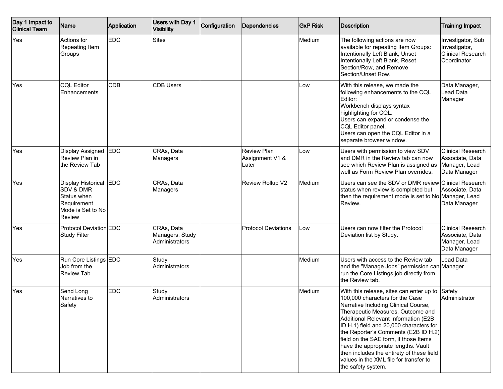| Day 1 Impact to<br><b>Clinical Team</b> | Name                                                                                                    | Application | Users with Day 1<br>Visibility                  | Configuration | <b>Dependencies</b>                            | <b>GxP Risk</b> | <b>Description</b>                                                                                                                                                                                                                                                                                                                                                                                                                                                               | <b>Training Impact</b>                                                        |
|-----------------------------------------|---------------------------------------------------------------------------------------------------------|-------------|-------------------------------------------------|---------------|------------------------------------------------|-----------------|----------------------------------------------------------------------------------------------------------------------------------------------------------------------------------------------------------------------------------------------------------------------------------------------------------------------------------------------------------------------------------------------------------------------------------------------------------------------------------|-------------------------------------------------------------------------------|
| Yes                                     | Actions for<br>Repeating Item<br>Groups                                                                 | <b>EDC</b>  | <b>Sites</b>                                    |               |                                                | Medium          | The following actions are now<br>available for repeating Item Groups:<br>Intentionally Left Blank, Unset<br>Intentionally Left Blank, Reset<br>Section/Row, and Remove<br>Section/Unset Row.                                                                                                                                                                                                                                                                                     | Investigator, Sub<br>Investigator,<br><b>Clinical Research</b><br>Coordinator |
| Yes                                     | <b>CQL Editor</b><br>Enhancements                                                                       | <b>CDB</b>  | <b>CDB Users</b>                                |               |                                                | Low             | With this release, we made the<br>following enhancements to the CQL<br>Editor:<br>Workbench displays syntax<br>highlighting for CQL.<br>Users can expand or condense the<br>CQL Editor panel.<br>Users can open the CQL Editor in a<br>separate browser window.                                                                                                                                                                                                                  | Data Manager,<br>Lead Data<br>Manager                                         |
| Yes                                     | Display Assigned<br>Review Plan in<br>the Review Tab                                                    | EDC         | CRAs, Data<br>Managers                          |               | <b>Review Plan</b><br>Assignment V1 &<br>Later | Low             | Users with permission to view SDV<br>and DMR in the Review tab can now<br>see which Review Plan is assigned as<br>well as Form Review Plan overrides.                                                                                                                                                                                                                                                                                                                            | <b>Clinical Research</b><br>Associate, Data<br>Manager, Lead<br>Data Manager  |
| Yes                                     | Display Historical<br><b>SDV &amp; DMR</b><br>Status when<br>Requirement<br>Mode is Set to No<br>Review | EDC         | CRAs, Data<br>Managers                          |               | Review Rollup V2                               | Medium          | Users can see the SDV or DMR review Clinical Research<br>status when review is completed but<br>then the requirement mode is set to No Manager, Lead<br>Review.                                                                                                                                                                                                                                                                                                                  | Associate, Data<br>Data Manager                                               |
| Yes                                     | Protocol Deviation EDC<br><b>Study Filter</b>                                                           |             | CRAs, Data<br>Managers, Study<br>Administrators |               | <b>Protocol Deviations</b>                     | Low             | Users can now filter the Protocol<br>Deviation list by Study.                                                                                                                                                                                                                                                                                                                                                                                                                    | <b>Clinical Research</b><br>Associate, Data<br>Manager, Lead<br>Data Manager  |
| <b>Yes</b>                              | Run Core Listings EDC<br>Job from the<br><b>Review Tab</b>                                              |             | Study<br>Administrators                         |               |                                                | Medium          | Users with access to the Review tab<br>and the "Manage Jobs" permission can Manager<br>run the Core Listings job directly from<br>the Review tab.                                                                                                                                                                                                                                                                                                                                | Lead Data                                                                     |
| Yes                                     | Send Long<br>Narratives to<br>Safety                                                                    | <b>EDC</b>  | Study<br>Administrators                         |               |                                                | Medium          | With this release, sites can enter up to<br>100,000 characters for the Case<br>Narrative Including Clinical Course,<br>Therapeutic Measures, Outcome and<br>Additional Relevant Information (E2B<br>ID H.1) field and 20,000 characters for<br>the Reporter's Comments (E2B ID H.2)<br>field on the SAE form, if those Items<br>have the appropriate lengths. Vault<br>then includes the entirety of these field<br>values in the XML file for transfer to<br>the safety system. | Safety<br>Administrator                                                       |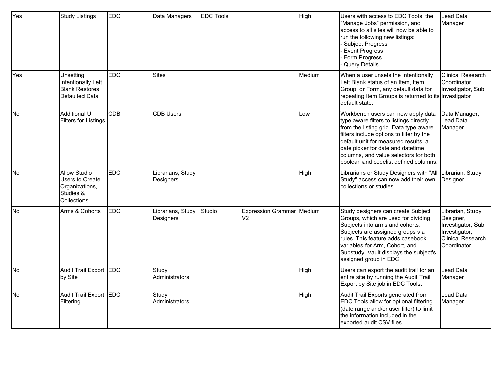| Yes       | Study Listings                                                                       | <b>EDC</b> | Data Managers                  | <b>EDC</b> Tools |                                             | High   | Users with access to EDC Tools, the<br>"Manage Jobs" permission, and<br>access to all sites will now be able to<br>run the following new listings:<br><b>Subject Progress</b><br><b>Event Progress</b><br>Form Progress<br>Query Details                                                                                           | <b>Lead Data</b><br>Manager                                                                                    |
|-----------|--------------------------------------------------------------------------------------|------------|--------------------------------|------------------|---------------------------------------------|--------|------------------------------------------------------------------------------------------------------------------------------------------------------------------------------------------------------------------------------------------------------------------------------------------------------------------------------------|----------------------------------------------------------------------------------------------------------------|
| Yes       | Unsetting<br>Intentionally Left<br><b>Blank Restores</b><br>Defaulted Data           | <b>EDC</b> | <b>Sites</b>                   |                  |                                             | Medium | When a user unsets the Intentionally<br>Left Blank status of an Item, Item<br>Group, or Form, any default data for<br>repeating Item Groups is returned to its Investigator<br>default state.                                                                                                                                      | <b>Clinical Research</b><br>Coordinator,<br>Investigator, Sub                                                  |
| lNo       | Additional UI<br>Filters for Listings                                                | <b>CDB</b> | <b>CDB Users</b>               |                  |                                             | Low    | Workbench users can now apply data<br>type aware filters to listings directly<br>from the listing grid. Data type aware<br>filters include options to filter by the<br>default unit for measured results, a<br>date picker for date and datetime<br>columns, and value selectors for both<br>boolean and codelist defined columns. | Data Manager,<br>Lead Data<br>Manager                                                                          |
| lNo       | <b>Allow Studio</b><br>Users to Create<br>Organizations,<br>Studies &<br>Collections | <b>EDC</b> | Librarians, Study<br>Designers |                  |                                             | High   | Librarians or Study Designers with "All<br>Study" access can now add their own<br>collections or studies.                                                                                                                                                                                                                          | Librarian, Study<br>Designer                                                                                   |
| No        | Arms & Cohorts                                                                       | <b>EDC</b> | Librarians, Study<br>Designers | Studio           | Expression Grammar Medium<br>V <sub>2</sub> |        | Study designers can create Subject<br>Groups, which are used for dividing<br>Subjects into arms and cohorts.<br>Subjects are assigned groups via<br>rules. This feature adds casebook<br>variables for Arm, Cohort, and<br>Substudy. Vault displays the subject's<br>assigned group in EDC.                                        | Librarian, Study<br>Designer,<br>Investigator, Sub<br>Investigator,<br><b>Clinical Research</b><br>Coordinator |
| <b>No</b> | Audit Trail Export EDC<br>by Site                                                    |            | Study<br>Administrators        |                  |                                             | High   | Users can export the audit trail for an<br>entire site by running the Audit Trail<br>Export by Site job in EDC Tools.                                                                                                                                                                                                              | Lead Data<br>Manager                                                                                           |
| No        | Audit Trail Export EDC<br>Filtering                                                  |            | Study<br>Administrators        |                  |                                             | High   | Audit Trail Exports generated from<br>EDC Tools allow for optional filtering<br>(date range and/or user filter) to limit<br>the information included in the<br>exported audit CSV files.                                                                                                                                           | Lead Data<br>Manager                                                                                           |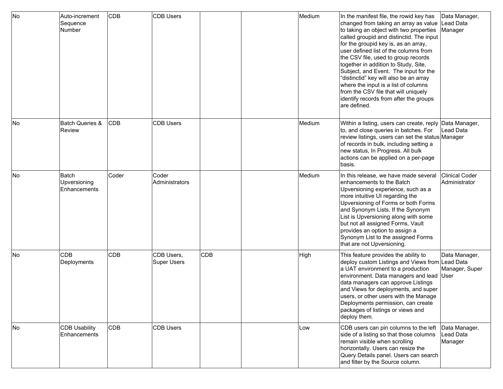| No        | Auto-increment<br>Sequence<br>Number  | <b>CDB</b> | <b>CDB Users</b>                 |                 | Medium | In the manifest file, the rowid key has<br>changed from taking an array as value<br>to taking an object with two properties<br>called groupid and distinctid. The input<br>for the groupid key is, as an array,<br>user defined list of the columns from<br>the CSV file, used to group records<br>together in addition to Study, Site,<br>Subject, and Event. The input for the<br>"distinctid" key will also be an array<br>where the input is a list of columns<br>from the CSV file that will uniquely<br>identify records from after the groups<br>are defined. | Data Manager,<br>Lead Data<br>Manager |
|-----------|---------------------------------------|------------|----------------------------------|-----------------|--------|----------------------------------------------------------------------------------------------------------------------------------------------------------------------------------------------------------------------------------------------------------------------------------------------------------------------------------------------------------------------------------------------------------------------------------------------------------------------------------------------------------------------------------------------------------------------|---------------------------------------|
| No        | <b>Batch Queries &amp;</b><br>Review  | <b>CDB</b> | <b>CDB Users</b>                 |                 | Medium | Within a listing, users can create, reply Data Manager,<br>to, and close queries in batches. For<br>review listings, users can set the status Manager<br>of records in bulk, including setting a<br>new status, In Progress. All bulk<br>actions can be applied on a per-page<br>lbasis.                                                                                                                                                                                                                                                                             | Lead Data                             |
| <b>No</b> | Batch<br>Upversioning<br>Enhancements | Coder      | Coder<br>Administrators          |                 | Medium | In this release, we have made several<br>enhancements to the Batch<br>Upversioning experience, such as a<br>more intuitive UI regarding the<br>Upversioning of Forms or both Forms<br>and Synonym Lists. If the Synonym<br>List is Upversioning along with some<br>but not all assigned Forms, Vault<br>provides an option to assign a<br>Synonym List to the assigned Forms<br>that are not Upversioning.                                                                                                                                                           | Clinical Coder<br>Administrator       |
| <b>No</b> | <b>CDB</b><br>Deployments             | <b>CDB</b> | CDB Users,<br><b>Super Users</b> | CD <sub>B</sub> | High   | This feature provides the ability to<br>deploy custom Listings and Views from Lead Data<br>a UAT environment to a production<br>environment. Data managers and lead User<br>data managers can approve Listings<br>and Views for deployments, and super<br>users, or other users with the Manage<br>Deployments permission, can create<br>packages of listings or views and<br>deploy them.                                                                                                                                                                           | Data Manager,<br>Manager, Super       |
| No        | <b>CDB Usability</b><br>Enhancements  | <b>CDB</b> | <b>CDB Users</b>                 |                 | Low    | CDB users can pin columns to the left<br>side of a listing so that those columns<br>remain visible when scrolling<br>horizontally. Users can resize the<br>Query Details panel. Users can search<br>and filter by the Source column.                                                                                                                                                                                                                                                                                                                                 | Data Manager,<br>Lead Data<br>Manager |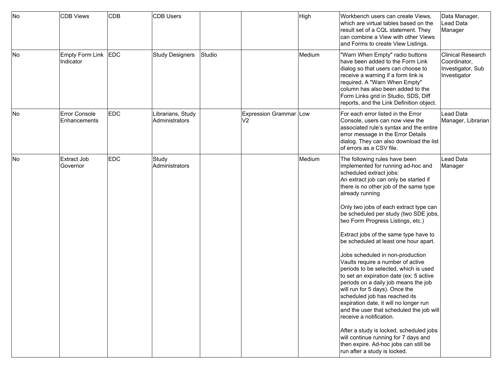| No | <b>CDB Views</b>                 | <b>CDB</b> | CDB Users                           |        |                                            | High   | Workbench users can create Views,<br>which are virtual tables based on the<br>result set of a CQL statement. They<br>can combine a View with other Views<br>and Forms to create View Listings.                                                                                                                                                                                                                                                                                                                                                                                                                                                                                                                                                                                                                                                                                                                                                                      | Data Manager,<br>Lead Data<br>Manager                                         |
|----|----------------------------------|------------|-------------------------------------|--------|--------------------------------------------|--------|---------------------------------------------------------------------------------------------------------------------------------------------------------------------------------------------------------------------------------------------------------------------------------------------------------------------------------------------------------------------------------------------------------------------------------------------------------------------------------------------------------------------------------------------------------------------------------------------------------------------------------------------------------------------------------------------------------------------------------------------------------------------------------------------------------------------------------------------------------------------------------------------------------------------------------------------------------------------|-------------------------------------------------------------------------------|
| No | Empty Form Link EDC<br>Indicator |            | <b>Study Designers</b>              | Studio |                                            | Medium | "Warn When Empty" radio buttons<br>have been added to the Form Link<br>dialog so that users can choose to<br>receive a warning if a form link is<br>required. A "Warn When Empty"<br>column has also been added to the<br>Form Links grid in Studio, SDS, Diff<br>reports, and the Link Definition object.                                                                                                                                                                                                                                                                                                                                                                                                                                                                                                                                                                                                                                                          | <b>Clinical Research</b><br>Coordinator,<br>Investigator, Sub<br>Investigator |
| No | Error Console<br>Enhancements    | <b>EDC</b> | Librarians, Study<br>Administrators |        | Expression Grammar   Low<br>V <sub>2</sub> |        | For each error listed in the Error<br>Console, users can now view the<br>associated rule's syntax and the entire<br>error message in the Error Details<br>dialog. They can also download the list<br>of errors as a CSV file.                                                                                                                                                                                                                                                                                                                                                                                                                                                                                                                                                                                                                                                                                                                                       | Lead Data<br>Manager, Librarian                                               |
| No | Extract Job<br>Governor          | <b>EDC</b> | Study<br>Administrators             |        |                                            | Medium | The following rules have been<br>implemented for running ad-hoc and<br>scheduled extract jobs:<br>An extract job can only be started if<br>there is no other job of the same type<br>already running<br>Only two jobs of each extract type can<br>be scheduled per study (two SDE jobs,<br>two Form Progress Listings, etc.)<br>Extract jobs of the same type have to<br>be scheduled at least one hour apart.<br>Jobs scheduled in non-production<br>Vaults require a number of active<br>periods to be selected, which is used<br>to set an expiration date (ex: 5 active<br>periods on a daily job means the job<br>will run for 5 days). Once the<br>scheduled job has reached its<br>expiration date, it will no longer run<br>and the user that scheduled the job will<br>receive a notification.<br>After a study is locked, scheduled jobs<br>will continue running for 7 days and<br>then expire. Ad-hoc jobs can still be<br>run after a study is locked. | Lead Data<br>Manager                                                          |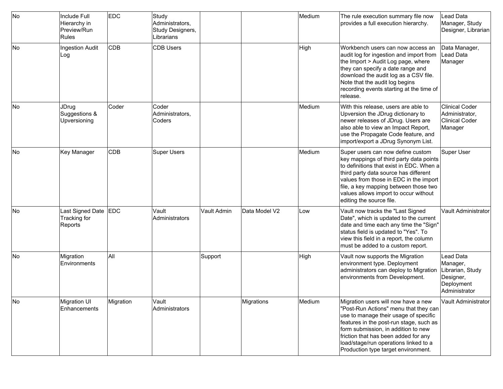| No | Include Full<br>Hierarchy in<br>Preview/Run<br>Rules | <b>EDC</b> | Study<br>Administrators,<br>Study Designers,<br>Librarians |             |               | Medium | The rule execution summary file now<br>provides a full execution hierarchy.                                                                                                                                                                                                                                                     | Lead Data<br>Manager, Study<br>Designer, Librarian                                    |
|----|------------------------------------------------------|------------|------------------------------------------------------------|-------------|---------------|--------|---------------------------------------------------------------------------------------------------------------------------------------------------------------------------------------------------------------------------------------------------------------------------------------------------------------------------------|---------------------------------------------------------------------------------------|
| No | <b>Ingestion Audit</b><br>Log                        | <b>CDB</b> | <b>CDB Users</b>                                           |             |               | High   | Workbench users can now access an<br>audit log for ingestion and import from<br>the Import > Audit Log page, where<br>they can specify a date range and<br>download the audit log as a CSV file.<br>Note that the audit log begins<br>recording events starting at the time of<br>release.                                      | Data Manager,<br>Lead Data<br>Manager                                                 |
| No | <b>JDrug</b><br>Suggestions &<br>Upversioning        | Coder      | Coder<br>Administrators,<br>Coders                         |             |               | Medium | With this release, users are able to<br>Upversion the JDrug dictionary to<br>newer releases of JDrug. Users are<br>also able to view an Impact Report,<br>use the Propagate Code feature, and<br>import/export a JDrug Synonym List.                                                                                            | <b>Clinical Coder</b><br>Administrator,<br>Clinical Coder<br>Manager                  |
| No | Key Manager                                          | CDB        | <b>Super Users</b>                                         |             |               | Medium | Super users can now define custom<br>key mappings of third party data points<br>to definitions that exist in EDC. When a<br>third party data source has different<br>values from those in EDC in the import<br>file, a key mapping between those two<br>values allows import to occur without<br>editing the source file.       | Super User                                                                            |
| No | Last Signed Date<br>Tracking for<br>Reports          | <b>EDC</b> | Vault<br>Administrators                                    | Vault Admin | Data Model V2 | Low    | Vault now tracks the "Last Signed<br>Date", which is updated to the current<br>date and time each any time the "Sign"<br>status field is updated to "Yes". To<br>view this field in a report, the column<br>must be added to a custom report.                                                                                   | <b>Vault Administrator</b>                                                            |
| No | Migration<br>Environments                            | All        |                                                            | Support     |               | High   | Vault now supports the Migration<br>environment type. Deployment<br>administrators can deploy to Migration<br>environments from Development.                                                                                                                                                                                    | Lead Data<br>Manager,<br>Librarian, Study<br>Designer,<br>Deployment<br>Administrator |
| No | Migration UI<br>Enhancements                         | Migration  | Vault<br>Administrators                                    |             | Migrations    | Medium | Migration users will now have a new<br>"Post-Run Actions" menu that they can<br>use to manage their usage of specific<br>features in the post-run stage, such as<br>form submission, in addition to new<br>friction that has been added for any<br>load/stage/run operations linked to a<br>Production type target environment. | Vault Administrator                                                                   |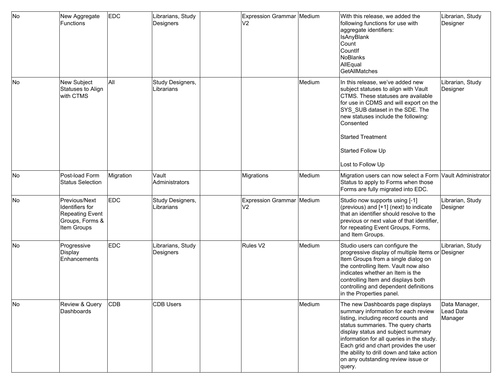| No | New Aggregate<br>Functions                                                            | <b>EDC</b> | Librarians, Study<br>Designers | Expression Grammar Medium<br>V <sub>2</sub> |        | With this release, we added the<br>following functions for use with<br>aggregate identifiers:<br><b>IsAnyBlank</b><br>Count<br>Countlf<br>NoBlanks<br>AllEqual<br><b>GetAllMatches</b>                                                                                                                                                                                         | Librarian, Study<br>Designer          |
|----|---------------------------------------------------------------------------------------|------------|--------------------------------|---------------------------------------------|--------|--------------------------------------------------------------------------------------------------------------------------------------------------------------------------------------------------------------------------------------------------------------------------------------------------------------------------------------------------------------------------------|---------------------------------------|
| No | New Subject<br>Statuses to Align<br>with CTMS                                         | All        | Study Designers,<br>Librarians |                                             | Medium | In this release, we've added new<br>subject statuses to align with Vault<br>CTMS. These statuses are available<br>for use in CDMS and will export on the<br>SYS_SUB dataset in the SDE. The<br>new statuses include the following:<br>Consented<br>Started Treatment<br>Started Follow Up<br>Lost to Follow Up                                                                 | Librarian, Study<br>Designer          |
| No | Post-load Form<br><b>Status Selection</b>                                             | Migration  | Vault<br>Administrators        | Migrations                                  | Medium | Migration users can now select a Form Vault Administrator<br>Status to apply to Forms when those<br>Forms are fully migrated into EDC.                                                                                                                                                                                                                                         |                                       |
| No | Previous/Next<br>Identifiers for<br>Repeating Event<br>Groups, Forms &<br>Item Groups | <b>EDC</b> | Study Designers,<br>Librarians | <b>Expression Grammar</b><br>V <sub>2</sub> | Medium | Studio now supports using [-1]<br>(previous) and [+1] (next) to indicate<br>that an identifier should resolve to the<br>previous or next value of that identifier,<br>for repeating Event Groups, Forms,<br>and Item Groups.                                                                                                                                                   | Librarian, Study<br>Designer          |
| No | Progressive<br>Display<br><b>Enhancements</b>                                         | <b>EDC</b> | Librarians, Study<br>Designers | Rules <sub>V2</sub>                         | Medium | Studio users can configure the<br>progressive display of multiple Items or Designer<br>Item Groups from a single dialog on<br>the controlling Item. Vault now also<br>indicates whether an Item is the<br>controlling Item and displays both<br>controlling and dependent definitions<br>in the Properties panel.                                                              | Librarian, Study                      |
| No | Review & Query<br>Dashboards                                                          | <b>CDB</b> | <b>CDB Users</b>               |                                             | Medium | The new Dashboards page displays<br>summary information for each review<br>listing, including record counts and<br>status summaries. The query charts<br>display status and subject summary<br>information for all queries in the study.<br>Each grid and chart provides the user<br>the ability to drill down and take action<br>on any outstanding review issue or<br>query. | Data Manager,<br>Lead Data<br>Manager |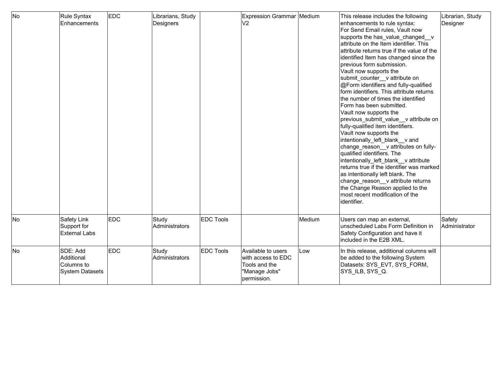| No        | Rule Syntax<br><b>Enhancements</b>                       | <b>EDC</b> | Librarians, Study<br>Designers |                  | Expression Grammar Medium<br>V2                                                           |        | This release includes the following<br>enhancements to rule syntax:<br>For Send Email rules, Vault now<br>supports the has_value_changed_v<br>attribute on the Item identifier. This<br>lattribute returns true if the value of the<br>identified Item has changed since the<br>previous form submission.<br>Vault now supports the<br>submit_counter__v attribute on<br>@Form identifiers and fully-qualified<br>form identifiers. This attribute returns<br>the number of times the identified<br>Form has been submitted.<br>Vault now supports the<br>previous_submit_value__v attribute on<br>fully-qualified item identifiers.<br>Vault now supports the<br>intentionally left blank v and<br>change_reason__v attributes on fully-<br>qualified identifiers. The<br>intentionally_left_blank__v attribute<br>returns true if the identifier was marked<br>as intentionally left blank. The<br>change_reason__v attribute returns<br>the Change Reason applied to the<br>most recent modification of the<br>lidentifier. | Librarian, Study<br>Designer |
|-----------|----------------------------------------------------------|------------|--------------------------------|------------------|-------------------------------------------------------------------------------------------|--------|--------------------------------------------------------------------------------------------------------------------------------------------------------------------------------------------------------------------------------------------------------------------------------------------------------------------------------------------------------------------------------------------------------------------------------------------------------------------------------------------------------------------------------------------------------------------------------------------------------------------------------------------------------------------------------------------------------------------------------------------------------------------------------------------------------------------------------------------------------------------------------------------------------------------------------------------------------------------------------------------------------------------------------|------------------------------|
| <b>No</b> | Safety Link<br>Support for<br><b>External Labs</b>       | <b>EDC</b> | Study<br>Administrators        | <b>EDC Tools</b> |                                                                                           | Medium | Users can map an external,<br>unscheduled Labs Form Definition in<br>Safety Configuration and have it<br>included in the E2B XML.                                                                                                                                                                                                                                                                                                                                                                                                                                                                                                                                                                                                                                                                                                                                                                                                                                                                                              | Safety<br>Administrator      |
| <b>No</b> | SDE: Add<br>Additional<br>lColumns to<br>System Datasets | <b>EDC</b> | Study<br>Administrators        | <b>EDC Tools</b> | Available to users<br>with access to EDC<br>Tools and the<br>"Manage Jobs"<br>permission. | Low    | In this release, additional columns will<br>be added to the following System<br>Datasets: SYS_EVT, SYS_FORM,<br>SYS ILB, SYS Q.                                                                                                                                                                                                                                                                                                                                                                                                                                                                                                                                                                                                                                                                                                                                                                                                                                                                                                |                              |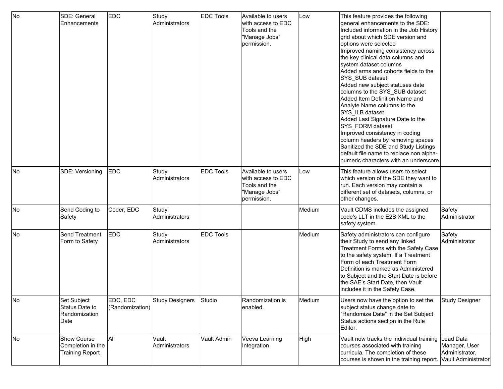| No  | SDE: General<br>Enhancements                                      | <b>EDC</b>                  | Study<br>Administrators | <b>EDC Tools</b> | Available to users<br>with access to EDC<br>Tools and the<br>"Manage Jobs"<br>permission. | Low         | This feature provides the following<br>general enhancements to the SDE:<br>Included information in the Job History<br>grid about which SDE version and<br>options were selected<br>Improved naming consistency across<br>the key clinical data columns and<br>system dataset columns<br>Added arms and cohorts fields to the<br>SYS_SUB dataset<br>Added new subject statuses date<br>columns to the SYS_SUB dataset<br>Added Item Definition Name and<br>Analyte Name columns to the<br>SYS_ILB dataset<br>Added Last Signature Date to the<br>SYS_FORM dataset<br>Improved consistency in coding<br>column headers by removing spaces<br>Sanitized the SDE and Study Listings<br>default file name to replace non alpha-<br>numeric characters with an underscore |                                                                     |
|-----|-------------------------------------------------------------------|-----------------------------|-------------------------|------------------|-------------------------------------------------------------------------------------------|-------------|---------------------------------------------------------------------------------------------------------------------------------------------------------------------------------------------------------------------------------------------------------------------------------------------------------------------------------------------------------------------------------------------------------------------------------------------------------------------------------------------------------------------------------------------------------------------------------------------------------------------------------------------------------------------------------------------------------------------------------------------------------------------|---------------------------------------------------------------------|
| lNo | SDE: Versioning                                                   | EDC                         | Study<br>Administrators | <b>EDC Tools</b> | Available to users<br>with access to EDC<br>Tools and the<br>"Manage Jobs"<br>permission. | Low         | This feature allows users to select<br>which version of the SDE they want to<br>run. Each version may contain a<br>different set of datasets, columns, or<br>other changes.                                                                                                                                                                                                                                                                                                                                                                                                                                                                                                                                                                                         |                                                                     |
| No  | Send Coding to<br>Safety                                          | Coder, EDC                  | Study<br>Administrators |                  |                                                                                           | Medium      | Vault CDMS includes the assigned<br>code's LLT in the E2B XML to the<br>safety system.                                                                                                                                                                                                                                                                                                                                                                                                                                                                                                                                                                                                                                                                              | Safety<br>Administrator                                             |
| No  | Send Treatment<br>Form to Safety                                  | EDC                         | Study<br>Administrators | <b>EDC Tools</b> |                                                                                           | Medium      | Safety administrators can configure<br>their Study to send any linked<br>Treatment Forms with the Safety Case<br>to the safety system. If a Treatment<br>Form of each Treatment Form<br>Definition is marked as Administered<br>to Subject and the Start Date is before<br>the SAE's Start Date, then Vault<br>includes it in the Safety Case.                                                                                                                                                                                                                                                                                                                                                                                                                      | Safety<br><b>Administrator</b>                                      |
| No  | Set Subject<br>Status Date to<br>Randomization<br>Date            | EDC, EDC<br>(Randomization) | Study Designers         | Studio           | Randomization is<br>enabled.                                                              | Medium      | Users now have the option to set the<br>subject status change date to<br>"Randomize Date" in the Set Subject<br>Status actions section in the Rule<br>Editor.                                                                                                                                                                                                                                                                                                                                                                                                                                                                                                                                                                                                       | Study Designer                                                      |
| No  | <b>Show Course</b><br>Completion in the<br><b>Training Report</b> | All                         | Vault<br>Administrators | Vault Admin      | Veeva Learning<br>Integration                                                             | <b>High</b> | Vault now tracks the individual training<br>courses associated with training<br>curricula. The completion of these<br>courses is shown in the training report.                                                                                                                                                                                                                                                                                                                                                                                                                                                                                                                                                                                                      | Lead Data<br>Manager, User<br>Administrator,<br>Vault Administrator |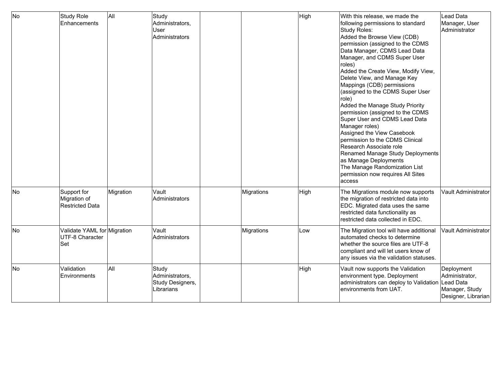| <b>No</b> | Study Role<br>Enhancements                             | All       | Study<br>Administrators,<br>User<br>Administrators         |            | High | With this release, we made the<br>following permissions to standard<br>Study Roles:<br>Added the Browse View (CDB)<br>permission (assigned to the CDMS<br>Data Manager, CDMS Lead Data<br>Manager, and CDMS Super User<br>roles)<br>Added the Create View, Modify View,<br>Delete View, and Manage Key<br>Mappings (CDB) permissions<br>(assigned to the CDMS Super User<br>role)<br>Added the Manage Study Priority<br>permission (assigned to the CDMS<br>Super User and CDMS Lead Data<br>Manager roles)<br>Assigned the View Casebook<br>permission to the CDMS Clinical<br>Research Associate role<br>Renamed Manage Study Deployments<br>as Manage Deployments<br>The Manage Randomization List<br>permission now requires All Sites<br>access | Lead Data<br>Manager, User<br>Administrator                           |
|-----------|--------------------------------------------------------|-----------|------------------------------------------------------------|------------|------|------------------------------------------------------------------------------------------------------------------------------------------------------------------------------------------------------------------------------------------------------------------------------------------------------------------------------------------------------------------------------------------------------------------------------------------------------------------------------------------------------------------------------------------------------------------------------------------------------------------------------------------------------------------------------------------------------------------------------------------------------|-----------------------------------------------------------------------|
| No        | Support for<br>Migration of<br><b>Restricted Data</b>  | Migration | Vault<br>Administrators                                    | Migrations | High | The Migrations module now supports<br>the migration of restricted data into<br>EDC. Migrated data uses the same<br>restricted data functionality as<br>restricted data collected in EDC.                                                                                                                                                                                                                                                                                                                                                                                                                                                                                                                                                             | Vault Administrator                                                   |
| <b>No</b> | Validate YAML for Migration<br>UTF-8 Character<br> Set |           | Vault<br>Administrators                                    | Migrations | Low  | The Migration tool will have additional<br>automated checks to determine<br>whether the source files are UTF-8<br>compliant and will let users know of<br>any issues via the validation statuses.                                                                                                                                                                                                                                                                                                                                                                                                                                                                                                                                                    | Vault Administrator                                                   |
| <b>No</b> | Validation<br>Environments                             | All       | Study<br>Administrators,<br>Study Designers,<br>Librarians |            | High | Vault now supports the Validation<br>environment type. Deployment<br>administrators can deploy to Validation Lead Data<br>environments from UAT.                                                                                                                                                                                                                                                                                                                                                                                                                                                                                                                                                                                                     | Deployment<br>Administrator,<br>Manager, Study<br>Designer, Librarian |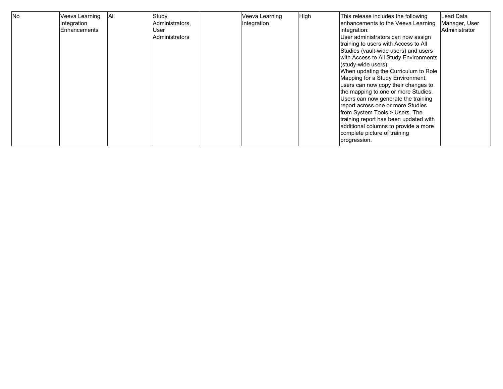| <b>No</b> | Veeva Learning<br>Integration<br>Enhancements | <b>JAII</b> | Study<br>Administrators,<br>User<br>Administrators |  | Veeva Learning<br>Integration | High | This release includes the following<br>enhancements to the Veeva Learning<br>integration:<br>User administrators can now assign<br>training to users with Access to All<br>Studies (vault-wide users) and users<br>with Access to All Study Environments<br>(study-wide users).<br>When updating the Curriculum to Role<br>Mapping for a Study Environment,<br>users can now copy their changes to<br>the mapping to one or more Studies.<br>Users can now generate the training<br>report across one or more Studies<br>from System Tools > Users. The<br>training report has been updated with<br>additional columns to provide a more<br>complete picture of training<br>progression. | Lead Data<br>Manager, User<br><b>Administrator</b> |
|-----------|-----------------------------------------------|-------------|----------------------------------------------------|--|-------------------------------|------|------------------------------------------------------------------------------------------------------------------------------------------------------------------------------------------------------------------------------------------------------------------------------------------------------------------------------------------------------------------------------------------------------------------------------------------------------------------------------------------------------------------------------------------------------------------------------------------------------------------------------------------------------------------------------------------|----------------------------------------------------|
|-----------|-----------------------------------------------|-------------|----------------------------------------------------|--|-------------------------------|------|------------------------------------------------------------------------------------------------------------------------------------------------------------------------------------------------------------------------------------------------------------------------------------------------------------------------------------------------------------------------------------------------------------------------------------------------------------------------------------------------------------------------------------------------------------------------------------------------------------------------------------------------------------------------------------------|----------------------------------------------------|